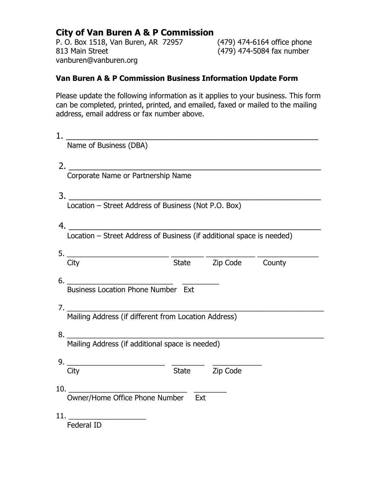# **City of Van Buren A & P Commission**

P. O. Box 1518, Van Buren, AR 72957 (479) 474-6164 office phone<br>813 Main Street (479) 474-5084 fax number vanburen@vanburen.org

(479) 474-5084 fax number

## **Van Buren A & P Commission Business Information Update Form**

Please update the following information as it applies to your business. This form can be completed, printed, printed, and emailed, faxed or mailed to the mailing address, email address or fax number above.

| 1. |                                                                                                         |  |  |  |  |  |
|----|---------------------------------------------------------------------------------------------------------|--|--|--|--|--|
|    | Name of Business (DBA)                                                                                  |  |  |  |  |  |
|    |                                                                                                         |  |  |  |  |  |
|    | 2. Corporate Name or Partnership Name                                                                   |  |  |  |  |  |
|    |                                                                                                         |  |  |  |  |  |
|    | 3. Location – Street Address of Business (Not P.O. Box)                                                 |  |  |  |  |  |
|    |                                                                                                         |  |  |  |  |  |
|    |                                                                                                         |  |  |  |  |  |
|    | $\frac{5.}{\text{City}}$ $\frac{1}{\text{State}}$ $\frac{1}{\text{Zip Code}}$ $\frac{1}{\text{County}}$ |  |  |  |  |  |
|    |                                                                                                         |  |  |  |  |  |
|    | 6. Business Location Phone Number Ext                                                                   |  |  |  |  |  |
|    |                                                                                                         |  |  |  |  |  |
|    |                                                                                                         |  |  |  |  |  |
|    | Mailing Address (if different from Location Address)                                                    |  |  |  |  |  |
|    |                                                                                                         |  |  |  |  |  |
|    | Mailing Address (if additional space is needed)                                                         |  |  |  |  |  |
|    |                                                                                                         |  |  |  |  |  |
|    | 9. $\frac{1}{\text{City}}$ $\frac{1}{\text{State}}$ $\frac{1}{\text{Zip Code}}$                         |  |  |  |  |  |
|    | Owner/Home Office Phone Number Ext<br>$10.$ $\qquad \qquad$                                             |  |  |  |  |  |
|    |                                                                                                         |  |  |  |  |  |
|    |                                                                                                         |  |  |  |  |  |
|    | Federal ID                                                                                              |  |  |  |  |  |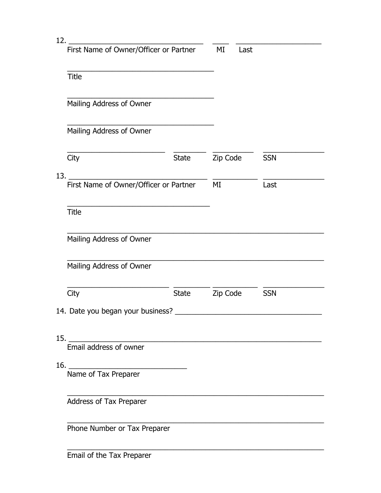| 12. |                                             |              |            |            |
|-----|---------------------------------------------|--------------|------------|------------|
|     | First Name of Owner/Officer or Partner      |              | ΜI<br>Last |            |
|     | <b>Title</b>                                |              |            |            |
|     | Mailing Address of Owner                    |              |            |            |
|     | Mailing Address of Owner                    |              |            |            |
|     | City                                        | <b>State</b> | Zip Code   | <b>SSN</b> |
| 13. | First Name of Owner/Officer or Partner      |              | MI         | Last       |
|     | <b>Title</b>                                |              |            |            |
|     | Mailing Address of Owner                    |              |            |            |
|     | Mailing Address of Owner                    |              |            |            |
|     | City                                        | <b>State</b> | Zip Code   | <b>SSN</b> |
|     | 14. Date you began your business?           |              |            |            |
| 15. |                                             |              |            |            |
|     | Email address of owner                      |              |            |            |
|     | 16. $\qquad \qquad$<br>Name of Tax Preparer |              |            |            |
|     | Address of Tax Preparer                     |              |            |            |
|     | Phone Number or Tax Preparer                |              |            |            |
|     |                                             |              |            |            |

Email of the Tax Preparer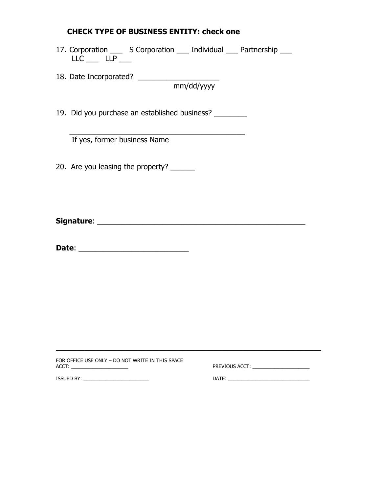## **CHECK TYPE OF BUSINESS ENTITY: check one**

- 17. Corporation \_\_\_ S Corporation \_\_\_ Individual \_\_\_ Partnership \_\_\_  $LLC$   $LLP$   $\_\_$
- 18. Date Incorporated? \_\_\_\_\_\_\_\_\_\_\_\_\_\_\_\_\_\_\_\_ mm/dd/yyyy

19. Did you purchase an established business? \_\_\_\_\_\_\_\_

 $\overline{\phantom{a}}$  , and the contract of the contract of the contract of the contract of the contract of the contract of the contract of the contract of the contract of the contract of the contract of the contract of the contrac If yes, former business Name

20. Are you leasing the property? \_\_\_\_\_\_

**Signature**: \_\_\_\_\_\_\_\_\_\_\_\_\_\_\_\_\_\_\_\_\_\_\_\_\_\_\_\_\_\_\_\_\_\_\_\_\_\_\_\_\_\_\_\_\_\_\_\_\_\_\_

**Date**: \_\_\_\_\_\_\_\_\_\_\_\_\_\_\_\_\_\_\_\_\_\_\_\_\_\_\_

| FOR OFFICE USE ONLY - DO NOT WRITE IN THIS SPACE<br>ACCT: | PREVIOUS ACCT: The contract of the contract of the contract of the contract of the contract of the contract of the contract of the contract of the contract of the contract of the contract of the contract of the contract of |
|-----------------------------------------------------------|--------------------------------------------------------------------------------------------------------------------------------------------------------------------------------------------------------------------------------|
| ISSUED BY:                                                | DATE:                                                                                                                                                                                                                          |

\_\_\_\_\_\_\_\_\_\_\_\_\_\_\_\_\_\_\_\_\_\_\_\_\_\_\_\_\_\_\_\_\_\_\_\_\_\_\_\_\_\_\_\_\_\_\_\_\_\_\_\_\_\_\_\_\_\_\_\_\_\_\_\_\_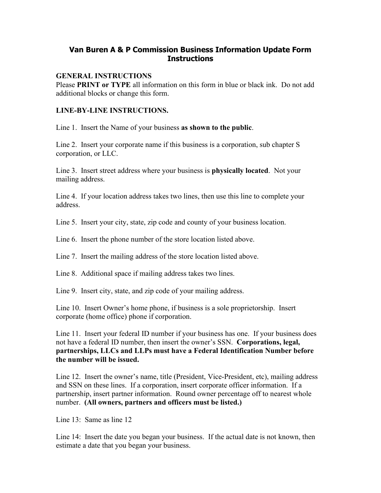## **Van Buren A & P Commission Business Information Update Form Instructions**

#### **GENERAL INSTRUCTIONS**

Please **PRINT or TYPE** all information on this form in blue or black ink. Do not add additional blocks or change this form.

#### **LINE-BY-LINE INSTRUCTIONS.**

Line 1. Insert the Name of your business **as shown to the public**.

Line 2. Insert your corporate name if this business is a corporation, sub chapter S corporation, or LLC.

Line 3. Insert street address where your business is **physically located**. Not your mailing address.

Line 4. If your location address takes two lines, then use this line to complete your address.

Line 5. Insert your city, state, zip code and county of your business location.

Line 6. Insert the phone number of the store location listed above.

Line 7. Insert the mailing address of the store location listed above.

Line 8. Additional space if mailing address takes two lines.

Line 9. Insert city, state, and zip code of your mailing address.

Line 10. Insert Owner's home phone, if business is a sole proprietorship. Insert corporate (home office) phone if corporation.

Line 11. Insert your federal ID number if your business has one. If your business does not have a federal ID number, then insert the owner's SSN. **Corporations, legal, partnerships, LLCs and LLPs must have a Federal Identification Number before the number will be issued.**

Line 12. Insert the owner's name, title (President, Vice-President, etc), mailing address and SSN on these lines. If a corporation, insert corporate officer information. If a partnership, insert partner information. Round owner percentage off to nearest whole number. **(All owners, partners and officers must be listed.)**

Line 13: Same as line 12

Line 14: Insert the date you began your business. If the actual date is not known, then estimate a date that you began your business.